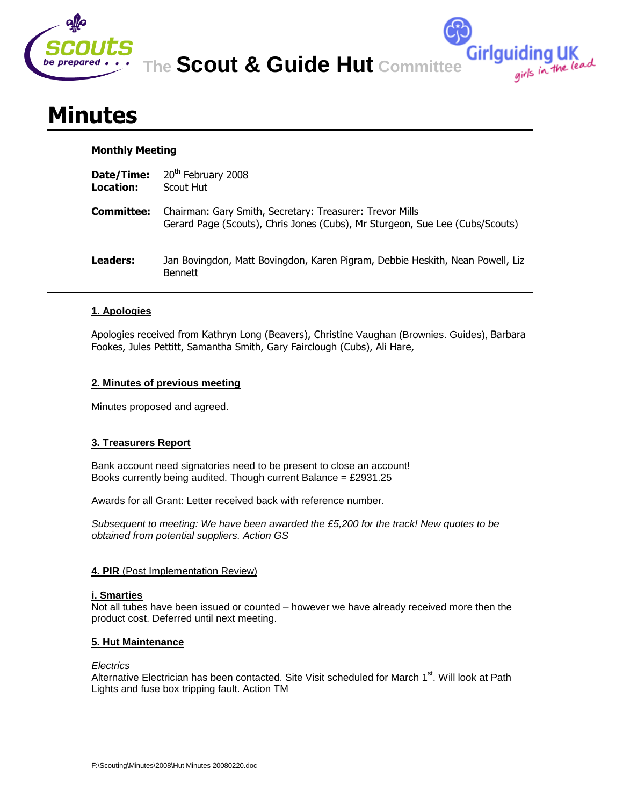

**The Scout & Guide Hut Committee**

**Girlguiding UK**<br>girls in the lead

# **Minutes**

## **Monthly Meeting**

| Date/Time:<br>Location: | 20 <sup>th</sup> February 2008<br>Scout Hut                                                                                              |
|-------------------------|------------------------------------------------------------------------------------------------------------------------------------------|
| Committee:              | Chairman: Gary Smith, Secretary: Treasurer: Trevor Mills<br>Gerard Page (Scouts), Chris Jones (Cubs), Mr Sturgeon, Sue Lee (Cubs/Scouts) |
| Leaders:                | Jan Bovingdon, Matt Bovingdon, Karen Pigram, Debbie Heskith, Nean Powell, Liz<br><b>Bennett</b>                                          |

# **1. Apologies**

Apologies received from Kathryn Long (Beavers), Christine Vaughan (Brownies. Guides), Barbara Fookes, Jules Pettitt, Samantha Smith, Gary Fairclough (Cubs), Ali Hare,

## **2. Minutes of previous meeting**

Minutes proposed and agreed.

## **3. Treasurers Report**

Bank account need signatories need to be present to close an account! Books currently being audited. Though current Balance =  $£2931.25$ 

Awards for all Grant: Letter received back with reference number.

*Subsequent to meeting: We have been awarded the £5,200 for the track! New quotes to be obtained from potential suppliers. Action GS*

## **4. PIR** (Post Implementation Review)

## **i. Smarties**

Not all tubes have been issued or counted – however we have already received more then the product cost. Deferred until next meeting.

## **5. Hut Maintenance**

## *Electrics*

Alternative Electrician has been contacted. Site Visit scheduled for March 1<sup>st</sup>. Will look at Path Lights and fuse box tripping fault. Action TM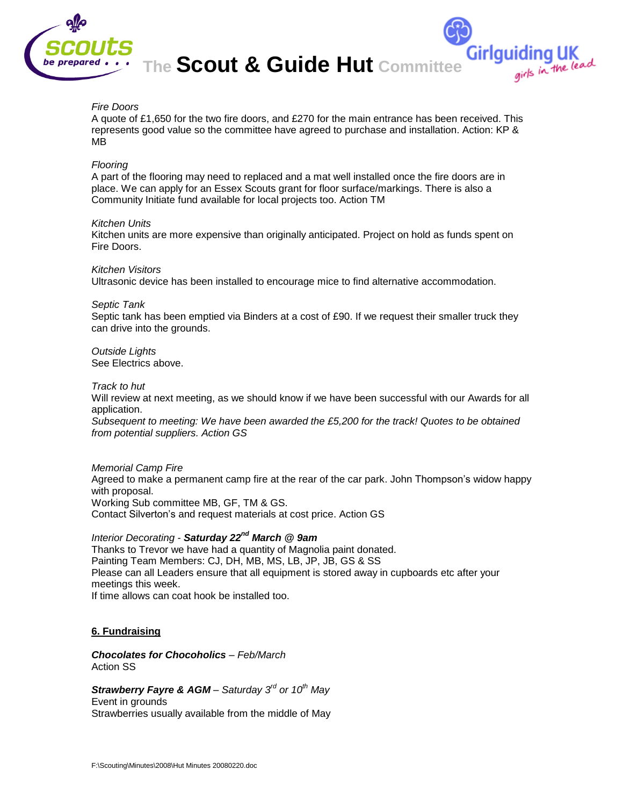

**The Scout & Guide Hut Committee**

Girlguiding UK<br>girls in the lead

## *Fire Doors*

A quote of £1,650 for the two fire doors, and £270 for the main entrance has been received. This represents good value so the committee have agreed to purchase and installation. Action: KP & MB

#### *Flooring*

A part of the flooring may need to replaced and a mat well installed once the fire doors are in place. We can apply for an Essex Scouts grant for floor surface/markings. There is also a Community Initiate fund available for local projects too. Action TM

#### *Kitchen Units*

Kitchen units are more expensive than originally anticipated. Project on hold as funds spent on Fire Doors.

#### *Kitchen Visitors*

Ultrasonic device has been installed to encourage mice to find alternative accommodation.

#### *Septic Tank*

Septic tank has been emptied via Binders at a cost of £90. If we request their smaller truck they can drive into the grounds.

*Outside Lights* See Electrics above.

#### *Track to hut*

Will review at next meeting, as we should know if we have been successful with our Awards for all application.

*Subsequent to meeting: We have been awarded the £5,200 for the track! Quotes to be obtained from potential suppliers. Action GS*

#### *Memorial Camp Fire*

Agreed to make a permanent camp fire at the rear of the car park. John Thompson's widow happy with proposal. Working Sub committee MB, GF, TM & GS. Contact Silverton's and request materials at cost price. Action GS

# *Interior Decorating - Saturday 22nd March @ 9am*

Thanks to Trevor we have had a quantity of Magnolia paint donated. Painting Team Members: CJ, DH, MB, MS, LB, JP, JB, GS & SS Please can all Leaders ensure that all equipment is stored away in cupboards etc after your meetings this week. If time allows can coat hook be installed too.

#### **6. Fundraising**

*Chocolates for Chocoholics – Feb/March* Action SS

# *Strawberry Fayre & AGM – Saturday 3rd or 10th May*

Event in grounds Strawberries usually available from the middle of May